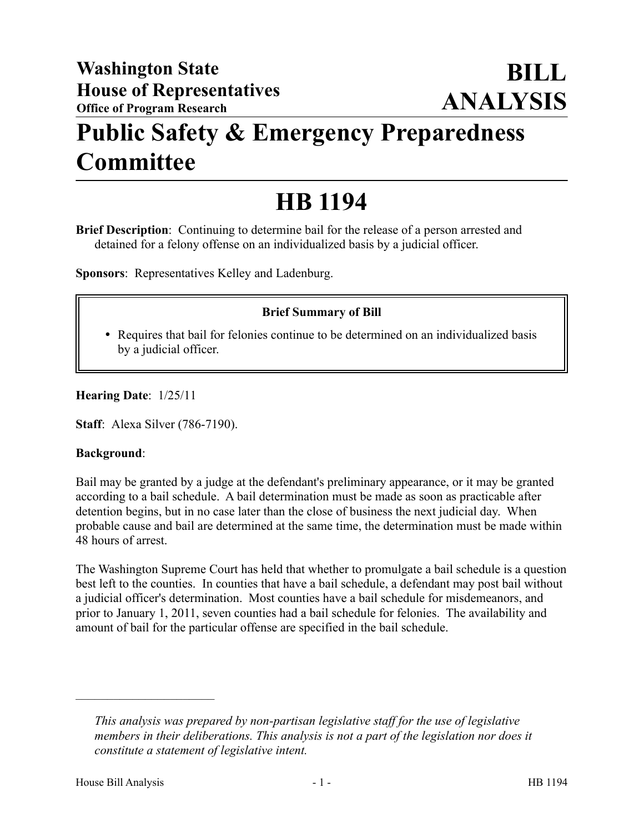## **Public Safety & Emergency Preparedness Committee**

# **HB 1194**

**Brief Description**: Continuing to determine bail for the release of a person arrested and detained for a felony offense on an individualized basis by a judicial officer.

**Sponsors**: Representatives Kelley and Ladenburg.

### **Brief Summary of Bill**

 Requires that bail for felonies continue to be determined on an individualized basis by a judicial officer.

**Hearing Date**: 1/25/11

**Staff**: Alexa Silver (786-7190).

#### **Background**:

Bail may be granted by a judge at the defendant's preliminary appearance, or it may be granted according to a bail schedule. A bail determination must be made as soon as practicable after detention begins, but in no case later than the close of business the next judicial day. When probable cause and bail are determined at the same time, the determination must be made within 48 hours of arrest.

The Washington Supreme Court has held that whether to promulgate a bail schedule is a question best left to the counties. In counties that have a bail schedule, a defendant may post bail without a judicial officer's determination. Most counties have a bail schedule for misdemeanors, and prior to January 1, 2011, seven counties had a bail schedule for felonies. The availability and amount of bail for the particular offense are specified in the bail schedule.

––––––––––––––––––––––

*This analysis was prepared by non-partisan legislative staff for the use of legislative members in their deliberations. This analysis is not a part of the legislation nor does it constitute a statement of legislative intent.*